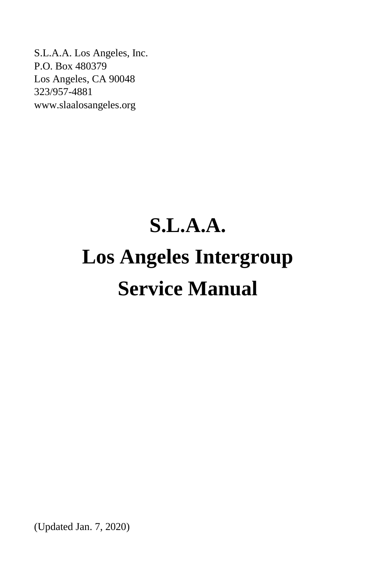S.L.A.A. Los Angeles, Inc. P.O. Box 480379 Los Angeles, CA 90048 323/957-4881 www.slaalosangeles.org

# **S.L.A.A. Los Angeles Intergroup Service Manual**

(Updated Jan. 7, 2020)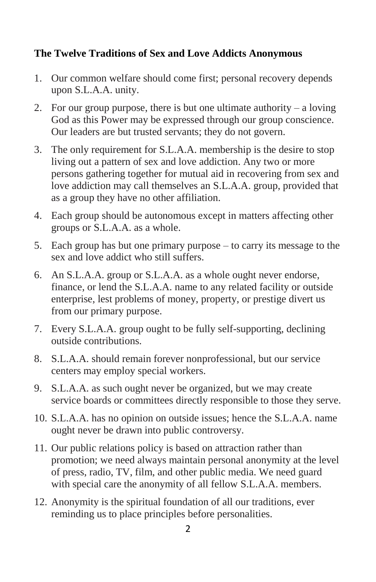## **The Twelve Traditions of Sex and Love Addicts Anonymous**

- 1. Our common welfare should come first; personal recovery depends upon S.L.A.A. unity.
- 2. For our group purpose, there is but one ultimate authority a loving God as this Power may be expressed through our group conscience. Our leaders are but trusted servants; they do not govern.
- 3. The only requirement for S.L.A.A. membership is the desire to stop living out a pattern of sex and love addiction. Any two or more persons gathering together for mutual aid in recovering from sex and love addiction may call themselves an S.L.A.A. group, provided that as a group they have no other affiliation.
- 4. Each group should be autonomous except in matters affecting other groups or S.L.A.A. as a whole.
- 5. Each group has but one primary purpose to carry its message to the sex and love addict who still suffers.
- 6. An S.L.A.A. group or S.L.A.A. as a whole ought never endorse, finance, or lend the S.L.A.A. name to any related facility or outside enterprise, lest problems of money, property, or prestige divert us from our primary purpose.
- 7. Every S.L.A.A. group ought to be fully self-supporting, declining outside contributions.
- 8. S.L.A.A. should remain forever nonprofessional, but our service centers may employ special workers.
- 9. S.L.A.A. as such ought never be organized, but we may create service boards or committees directly responsible to those they serve.
- 10. S.L.A.A. has no opinion on outside issues; hence the S.L.A.A. name ought never be drawn into public controversy.
- 11. Our public relations policy is based on attraction rather than promotion; we need always maintain personal anonymity at the level of press, radio, TV, film, and other public media. We need guard with special care the anonymity of all fellow S.L.A.A. members.
- 12. Anonymity is the spiritual foundation of all our traditions, ever reminding us to place principles before personalities.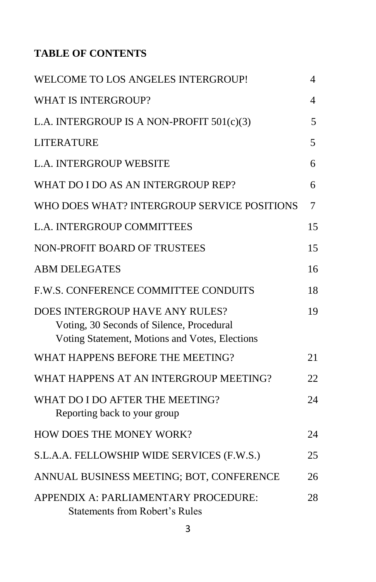# **TABLE OF CONTENTS**

| WELCOME TO LOS ANGELES INTERGROUP!                                                                                             | 4              |
|--------------------------------------------------------------------------------------------------------------------------------|----------------|
| <b>WHAT IS INTERGROUP?</b>                                                                                                     | $\overline{4}$ |
| L.A. INTERGROUP IS A NON-PROFIT 501(c)(3)                                                                                      | 5              |
| <b>LITERATURE</b>                                                                                                              | 5              |
| L.A. INTERGROUP WEBSITE                                                                                                        | 6              |
| WHAT DO I DO AS AN INTERGROUP REP?                                                                                             | 6              |
| WHO DOES WHAT? INTERGROUP SERVICE POSITIONS                                                                                    | $\overline{7}$ |
| <b>L.A. INTERGROUP COMMITTEES</b>                                                                                              | 15             |
| <b>NON-PROFIT BOARD OF TRUSTEES</b>                                                                                            | 15             |
| <b>ABM DELEGATES</b>                                                                                                           | 16             |
| F.W.S. CONFERENCE COMMITTEE CONDUITS                                                                                           | 18             |
| DOES INTERGROUP HAVE ANY RULES?<br>Voting, 30 Seconds of Silence, Procedural<br>Voting Statement, Motions and Votes, Elections | 19             |
| WHAT HAPPENS BEFORE THE MEETING?                                                                                               | 21             |
| WHAT HAPPENS AT AN INTERGROUP MEETING?                                                                                         | 22             |
| WHAT DO I DO AFTER THE MEETING?<br>Reporting back to your group                                                                | 24             |
| HOW DOES THE MONEY WORK?                                                                                                       | 24             |
| S.L.A.A. FELLOWSHIP WIDE SERVICES (F.W.S.)                                                                                     | 25             |
| ANNUAL BUSINESS MEETING; BOT, CONFERENCE                                                                                       | 26             |
| APPENDIX A: PARLIAMENTARY PROCEDURE:<br><b>Statements from Robert's Rules</b>                                                  | 28             |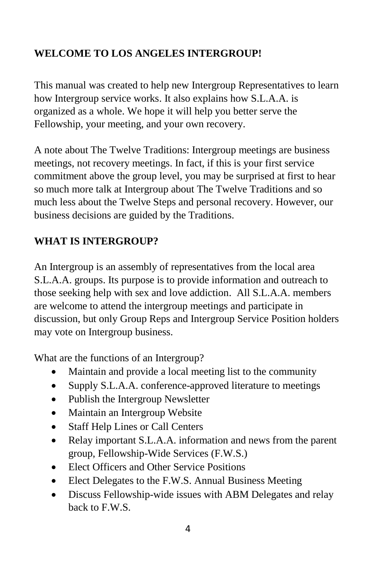# **WELCOME TO LOS ANGELES INTERGROUP!**

This manual was created to help new Intergroup Representatives to learn how Intergroup service works. It also explains how S.L.A.A. is organized as a whole. We hope it will help you better serve the Fellowship, your meeting, and your own recovery.

A note about The Twelve Traditions: Intergroup meetings are business meetings, not recovery meetings. In fact, if this is your first service commitment above the group level, you may be surprised at first to hear so much more talk at Intergroup about The Twelve Traditions and so much less about the Twelve Steps and personal recovery. However, our business decisions are guided by the Traditions.

# **WHAT IS INTERGROUP?**

An Intergroup is an assembly of representatives from the local area S.L.A.A. groups. Its purpose is to provide information and outreach to those seeking help with sex and love addiction. All S.L.A.A. members are welcome to attend the intergroup meetings and participate in discussion, but only Group Reps and Intergroup Service Position holders may vote on Intergroup business.

What are the functions of an Intergroup?

- Maintain and provide a local meeting list to the community
- Supply S.L.A.A. conference-approved literature to meetings
- Publish the Intergroup Newsletter
- Maintain an Intergroup Website
- Staff Help Lines or Call Centers
- Relay important S.L.A.A. information and news from the parent group, Fellowship-Wide Services (F.W.S.)
- Elect Officers and Other Service Positions
- Elect Delegates to the F.W.S. Annual Business Meeting
- Discuss Fellowship-wide issues with ABM Delegates and relay back to  $F$  W.S.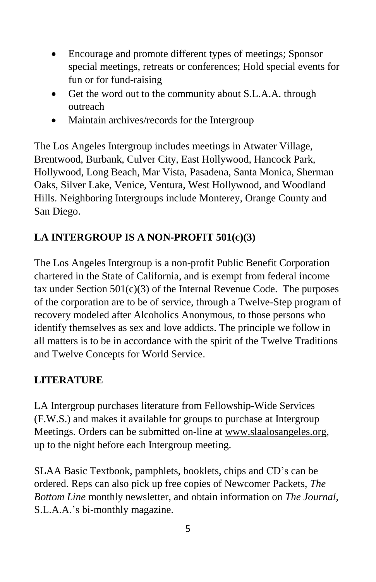- Encourage and promote different types of meetings; Sponsor special meetings, retreats or conferences; Hold special events for fun or for fund-raising
- Get the word out to the community about S.L.A.A. through outreach
- Maintain archives/records for the Intergroup

The Los Angeles Intergroup includes meetings in Atwater Village, Brentwood, Burbank, Culver City, East Hollywood, Hancock Park, Hollywood, Long Beach, Mar Vista, Pasadena, Santa Monica, Sherman Oaks, Silver Lake, Venice, Ventura, West Hollywood, and Woodland Hills. Neighboring Intergroups include Monterey, Orange County and San Diego.

# **LA INTERGROUP IS A NON-PROFIT 501(c)(3)**

The Los Angeles Intergroup is a non-profit Public Benefit Corporation chartered in the State of California, and is exempt from federal income tax under Section  $501(c)(3)$  of the Internal Revenue Code. The purposes of the corporation are to be of service, through a Twelve-Step program of recovery modeled after Alcoholics Anonymous, to those persons who identify themselves as sex and love addicts. The principle we follow in all matters is to be in accordance with the spirit of the Twelve Traditions and Twelve Concepts for World Service.

# **LITERATURE**

LA Intergroup purchases literature from Fellowship-Wide Services (F.W.S.) and makes it available for groups to purchase at Intergroup Meetings. Orders can be submitted on-line at www.slaalosangeles.org, up to the night before each Intergroup meeting.

SLAA Basic Textbook, pamphlets, booklets, chips and CD's can be ordered. Reps can also pick up free copies of Newcomer Packets, *The Bottom Line* monthly newsletter, and obtain information on *The Journal,* S.L.A.A.'s bi-monthly magazine.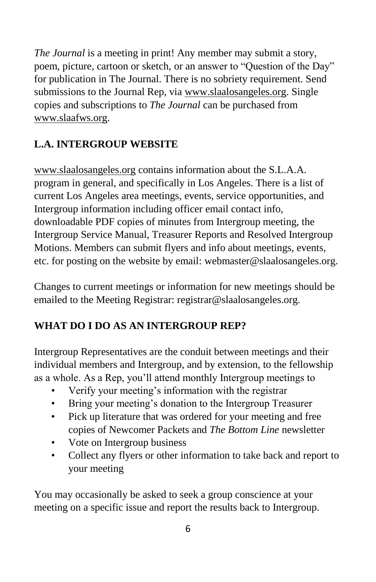*The Journal* is a meeting in print! Any member may submit a story, poem, picture, cartoon or sketch, or an answer to "Question of the Day" for publication in The Journal. There is no sobriety requirement. Send submissions to the Journal Rep, via www.slaalosangeles.org. Single copies and subscriptions to *The Journal* can be purchased from www.slaafws.org.

# **L.A. INTERGROUP WEBSITE**

www.slaalosangeles.org contains information about the S.L.A.A. program in general, and specifically in Los Angeles. There is a list of current Los Angeles area meetings, events, service opportunities, and Intergroup information including officer email contact info, downloadable PDF copies of minutes from Intergroup meeting, the Intergroup Service Manual, Treasurer Reports and Resolved Intergroup Motions. Members can submit flyers and info about meetings, events, etc. for posting on the website by email: webmaster@slaalosangeles.org.

Changes to current meetings or information for new meetings should be emailed to the Meeting Registrar: registrar@slaalosangeles.org.

# **WHAT DO I DO AS AN INTERGROUP REP?**

Intergroup Representatives are the conduit between meetings and their individual members and Intergroup, and by extension, to the fellowship as a whole. As a Rep, you'll attend monthly Intergroup meetings to

- Verify your meeting's information with the registrar
- Bring your meeting's donation to the Intergroup Treasurer
- Pick up literature that was ordered for your meeting and free copies of Newcomer Packets and *The Bottom Line* newsletter
- Vote on Intergroup business
- Collect any flyers or other information to take back and report to your meeting

You may occasionally be asked to seek a group conscience at your meeting on a specific issue and report the results back to Intergroup.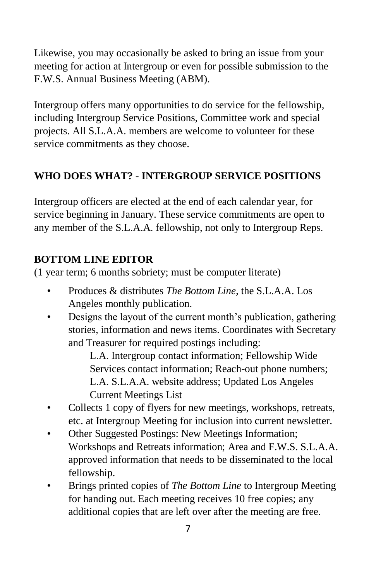Likewise, you may occasionally be asked to bring an issue from your meeting for action at Intergroup or even for possible submission to the F.W.S. Annual Business Meeting (ABM).

Intergroup offers many opportunities to do service for the fellowship, including Intergroup Service Positions, Committee work and special projects. All S.L.A.A. members are welcome to volunteer for these service commitments as they choose.

# **WHO DOES WHAT? - INTERGROUP SERVICE POSITIONS**

Intergroup officers are elected at the end of each calendar year, for service beginning in January. These service commitments are open to any member of the S.L.A.A. fellowship, not only to Intergroup Reps.

# **BOTTOM LINE EDITOR**

(1 year term; 6 months sobriety; must be computer literate)

- Produces & distributes *The Bottom Line*, the S.L.A.A. Los Angeles monthly publication.
- Designs the layout of the current month's publication, gathering stories, information and news items. Coordinates with Secretary and Treasurer for required postings including:

L.A. Intergroup contact information; Fellowship Wide Services contact information; Reach-out phone numbers; L.A. S.L.A.A. website address; Updated Los Angeles Current Meetings List

- Collects 1 copy of flyers for new meetings, workshops, retreats, etc. at Intergroup Meeting for inclusion into current newsletter.
- Other Suggested Postings: New Meetings Information; Workshops and Retreats information; Area and F.W.S. S.L.A.A. approved information that needs to be disseminated to the local fellowship.
- Brings printed copies of *The Bottom Line* to Intergroup Meeting for handing out. Each meeting receives 10 free copies; any additional copies that are left over after the meeting are free.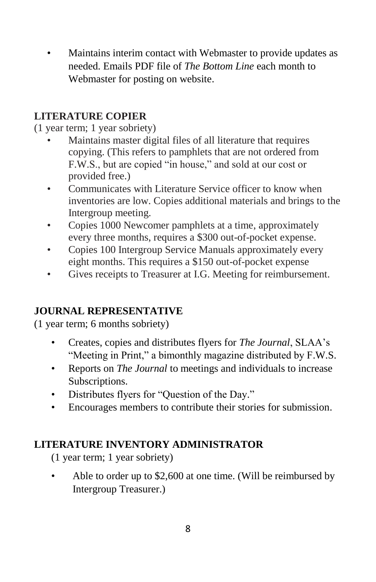• Maintains interim contact with Webmaster to provide updates as needed. Emails PDF file of *The Bottom Line* each month to Webmaster for posting on website.

## **LITERATURE COPIER**

## (1 year term; 1 year sobriety)

- Maintains master digital files of all literature that requires copying. (This refers to pamphlets that are not ordered from F.W.S., but are copied "in house," and sold at our cost or provided free.)
- Communicates with Literature Service officer to know when inventories are low. Copies additional materials and brings to the Intergroup meeting.
- Copies 1000 Newcomer pamphlets at a time, approximately every three months, requires a \$300 out-of-pocket expense.
- Copies 100 Intergroup Service Manuals approximately every eight months. This requires a \$150 out-of-pocket expense
- Gives receipts to Treasurer at I.G. Meeting for reimbursement.

## **JOURNAL REPRESENTATIVE**

(1 year term; 6 months sobriety)

- Creates, copies and distributes flyers for *The Journal*, SLAA's "Meeting in Print," a bimonthly magazine distributed by F.W.S.
- Reports on *The Journal* to meetings and individuals to increase Subscriptions.
- Distributes flyers for "Question of the Day."
- Encourages members to contribute their stories for submission.

## **LITERATURE INVENTORY ADMINISTRATOR**

(1 year term; 1 year sobriety)

Able to order up to \$2,600 at one time. (Will be reimbursed by Intergroup Treasurer.)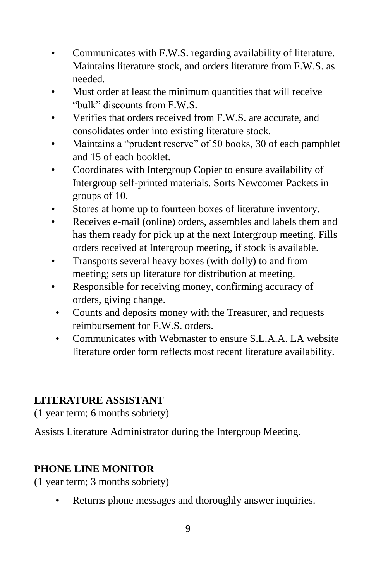- Communicates with F.W.S. regarding availability of literature. Maintains literature stock, and orders literature from F.W.S. as needed.
- Must order at least the minimum quantities that will receive "bulk" discounts from F.W.S.
- Verifies that orders received from F.W.S. are accurate, and consolidates order into existing literature stock.
- Maintains a "prudent reserve" of 50 books, 30 of each pamphlet and 15 of each booklet.
- Coordinates with Intergroup Copier to ensure availability of Intergroup self-printed materials. Sorts Newcomer Packets in groups of 10.
- Stores at home up to fourteen boxes of literature inventory.
- Receives e-mail (online) orders, assembles and labels them and has them ready for pick up at the next Intergroup meeting. Fills orders received at Intergroup meeting, if stock is available.
- Transports several heavy boxes (with dolly) to and from meeting; sets up literature for distribution at meeting.
- Responsible for receiving money, confirming accuracy of orders, giving change.
- Counts and deposits money with the Treasurer, and requests reimbursement for F.W.S. orders.
- Communicates with Webmaster to ensure S.L.A.A. LA website literature order form reflects most recent literature availability.

# **LITERATURE ASSISTANT**

(1 year term; 6 months sobriety)

Assists Literature Administrator during the Intergroup Meeting.

## **PHONE LINE MONITOR**

(1 year term; 3 months sobriety)

Returns phone messages and thoroughly answer inquiries.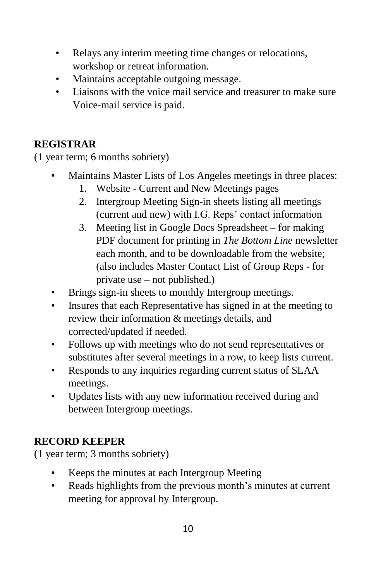- Relays any interim meeting time changes or relocations, workshop or retreat information.
- Maintains acceptable outgoing message.
- Liaisons with the voice mail service and treasurer to make sure Voice-mail service is paid.

## **REGISTRAR**

(1 year term; 6 months sobriety)

- Maintains Master Lists of Los Angeles meetings in three places:
	- 1. Website Current and New Meetings pages
	- 2. Intergroup Meeting Sign-in sheets listing all meetings (current and new) with I.G. Reps' contact information
	- 3. Meeting list in Google Docs Spreadsheet for making PDF document for printing in *The Bottom Line* newsletter each month, and to be downloadable from the website; (also includes Master Contact List of Group Reps - for private use – not published.)
- Brings sign-in sheets to monthly Intergroup meetings.
- Insures that each Representative has signed in at the meeting to review their information & meetings details, and corrected/updated if needed.
- Follows up with meetings who do not send representatives or substitutes after several meetings in a row, to keep lists current.
- Responds to any inquiries regarding current status of SLAA meetings.
- Updates lists with any new information received during and between Intergroup meetings.

# **RECORD KEEPER**

(1 year term; 3 months sobriety)

- Keeps the minutes at each Intergroup Meeting
- Reads highlights from the previous month's minutes at current meeting for approval by Intergroup.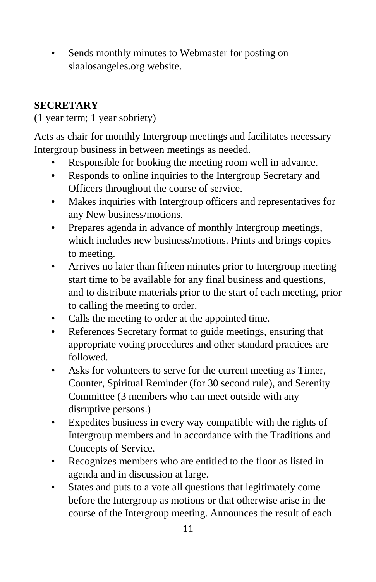• Sends monthly minutes to Webmaster for posting on slaalosangeles.org website.

# **SECRETARY**

(1 year term; 1 year sobriety)

Acts as chair for monthly Intergroup meetings and facilitates necessary Intergroup business in between meetings as needed.

- Responsible for booking the meeting room well in advance.
- Responds to online inquiries to the Intergroup Secretary and Officers throughout the course of service.
- Makes inquiries with Intergroup officers and representatives for any New business/motions.
- Prepares agenda in advance of monthly Intergroup meetings, which includes new business/motions. Prints and brings copies to meeting.
- Arrives no later than fifteen minutes prior to Intergroup meeting start time to be available for any final business and questions, and to distribute materials prior to the start of each meeting, prior to calling the meeting to order.
- Calls the meeting to order at the appointed time.
- References Secretary format to guide meetings, ensuring that appropriate voting procedures and other standard practices are followed.
- Asks for volunteers to serve for the current meeting as Timer, Counter, Spiritual Reminder (for 30 second rule), and Serenity Committee (3 members who can meet outside with any disruptive persons.)
- Expedites business in every way compatible with the rights of Intergroup members and in accordance with the Traditions and Concepts of Service.
- Recognizes members who are entitled to the floor as listed in agenda and in discussion at large.
- States and puts to a vote all questions that legitimately come before the Intergroup as motions or that otherwise arise in the course of the Intergroup meeting. Announces the result of each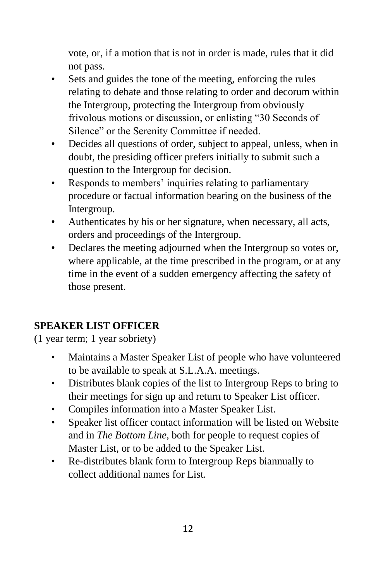vote, or, if a motion that is not in order is made, rules that it did not pass.

- Sets and guides the tone of the meeting, enforcing the rules relating to debate and those relating to order and decorum within the Intergroup, protecting the Intergroup from obviously frivolous motions or discussion, or enlisting "30 Seconds of Silence" or the Serenity Committee if needed.
- Decides all questions of order, subject to appeal, unless, when in doubt, the presiding officer prefers initially to submit such a question to the Intergroup for decision.
- Responds to members' inquiries relating to parliamentary procedure or factual information bearing on the business of the Intergroup.
- Authenticates by his or her signature, when necessary, all acts, orders and proceedings of the Intergroup.
- Declares the meeting adjourned when the Intergroup so votes or, where applicable, at the time prescribed in the program, or at any time in the event of a sudden emergency affecting the safety of those present.

# **SPEAKER LIST OFFICER**

(1 year term; 1 year sobriety)

- Maintains a Master Speaker List of people who have volunteered to be available to speak at S.L.A.A. meetings.
- Distributes blank copies of the list to Intergroup Reps to bring to their meetings for sign up and return to Speaker List officer.
- Compiles information into a Master Speaker List.
- Speaker list officer contact information will be listed on Website and in *The Bottom Line*, both for people to request copies of Master List, or to be added to the Speaker List.
- Re-distributes blank form to Intergroup Reps biannually to collect additional names for List.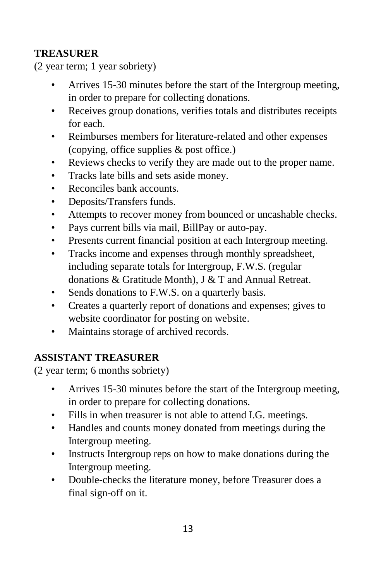# **TREASURER**

(2 year term; 1 year sobriety)

- Arrives 15-30 minutes before the start of the Intergroup meeting, in order to prepare for collecting donations.
- Receives group donations, verifies totals and distributes receipts for each.
- Reimburses members for literature-related and other expenses (copying, office supplies & post office.)
- Reviews checks to verify they are made out to the proper name.
- Tracks late bills and sets aside money.
- Reconciles bank accounts.
- Deposits/Transfers funds.
- Attempts to recover money from bounced or uncashable checks.
- Pays current bills via mail, BillPay or auto-pay.
- Presents current financial position at each Intergroup meeting.
- Tracks income and expenses through monthly spreadsheet, including separate totals for Intergroup, F.W.S. (regular donations & Gratitude Month), J & T and Annual Retreat.
- Sends donations to F.W.S. on a quarterly basis.
- Creates a quarterly report of donations and expenses; gives to website coordinator for posting on website.
- Maintains storage of archived records.

# **ASSISTANT TREASURER**

(2 year term; 6 months sobriety)

- Arrives 15-30 minutes before the start of the Intergroup meeting, in order to prepare for collecting donations.
- Fills in when treasurer is not able to attend I.G. meetings.
- Handles and counts money donated from meetings during the Intergroup meeting.
- Instructs Intergroup reps on how to make donations during the Intergroup meeting.
- Double-checks the literature money, before Treasurer does a final sign-off on it.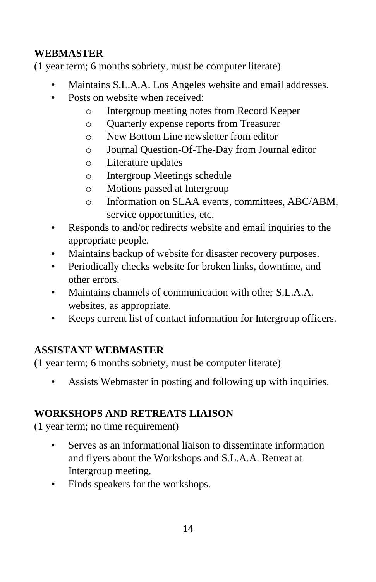# **WEBMASTER**

(1 year term; 6 months sobriety, must be computer literate)

- Maintains S.L.A.A. Los Angeles website and email addresses.
- Posts on website when received:
	- o Intergroup meeting notes from Record Keeper
	- o Quarterly expense reports from Treasurer
	- o New Bottom Line newsletter from editor
	- o Journal Question-Of-The-Day from Journal editor
	- o Literature updates
	- o Intergroup Meetings schedule
	- o Motions passed at Intergroup
	- o Information on SLAA events, committees, ABC/ABM, service opportunities, etc.
- Responds to and/or redirects website and email inquiries to the appropriate people.
- Maintains backup of website for disaster recovery purposes.
- Periodically checks website for broken links, downtime, and other errors.
- Maintains channels of communication with other S.L.A.A. websites, as appropriate.
- Keeps current list of contact information for Intergroup officers.

# **ASSISTANT WEBMASTER**

(1 year term; 6 months sobriety, must be computer literate)

• Assists Webmaster in posting and following up with inquiries.

# **WORKSHOPS AND RETREATS LIAISON**

(1 year term; no time requirement)

- Serves as an informational liaison to disseminate information and flyers about the Workshops and S.L.A.A. Retreat at Intergroup meeting.
- Finds speakers for the workshops.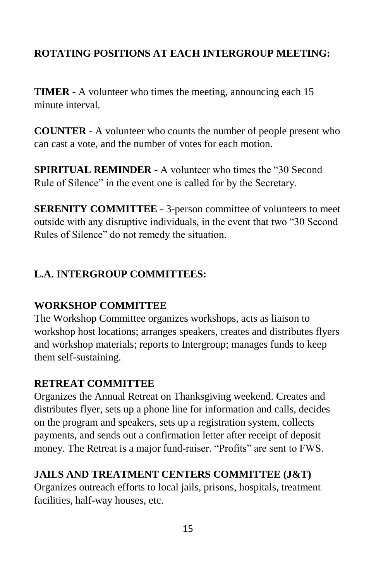# **ROTATING POSITIONS AT EACH INTERGROUP MEETING:**

**TIMER -** A volunteer who times the meeting, announcing each 15 minute interval.

**COUNTER -** A volunteer who counts the number of people present who can cast a vote, and the number of votes for each motion.

**SPIRITUAL REMINDER -** A volunteer who times the "30 Second Rule of Silence" in the event one is called for by the Secretary.

**SERENITY COMMITTEE -** 3-person committee of volunteers to meet outside with any disruptive individuals, in the event that two "30 Second Rules of Silence" do not remedy the situation.

## **L.A. INTERGROUP COMMITTEES:**

## **WORKSHOP COMMITTEE**

The Workshop Committee organizes workshops, acts as liaison to workshop host locations; arranges speakers, creates and distributes flyers and workshop materials; reports to Intergroup; manages funds to keep them self-sustaining.

## **RETREAT COMMITTEE**

Organizes the Annual Retreat on Thanksgiving weekend. Creates and distributes flyer, sets up a phone line for information and calls, decides on the program and speakers, sets up a registration system, collects payments, and sends out a confirmation letter after receipt of deposit money. The Retreat is a major fund-raiser. "Profits" are sent to FWS.

## **JAILS AND TREATMENT CENTERS COMMITTEE (J&T)**

Organizes outreach efforts to local jails, prisons, hospitals, treatment facilities, half-way houses, etc.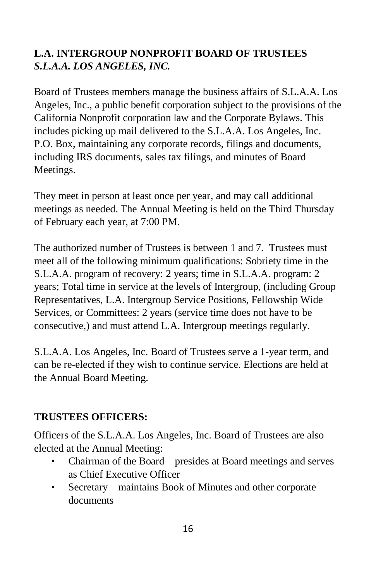# **L.A. INTERGROUP NONPROFIT BOARD OF TRUSTEES**  *S.L.A.A. LOS ANGELES, INC.*

Board of Trustees members manage the business affairs of S.L.A.A. Los Angeles, Inc., a public benefit corporation subject to the provisions of the California Nonprofit corporation law and the Corporate Bylaws. This includes picking up mail delivered to the S.L.A.A. Los Angeles, Inc. P.O. Box, maintaining any corporate records, filings and documents, including IRS documents, sales tax filings, and minutes of Board Meetings.

They meet in person at least once per year, and may call additional meetings as needed. The Annual Meeting is held on the Third Thursday of February each year, at 7:00 PM.

The authorized number of Trustees is between 1 and 7. Trustees must meet all of the following minimum qualifications: Sobriety time in the S.L.A.A. program of recovery: 2 years; time in S.L.A.A. program: 2 years; Total time in service at the levels of Intergroup, (including Group Representatives, L.A. Intergroup Service Positions, Fellowship Wide Services, or Committees: 2 years (service time does not have to be consecutive,) and must attend L.A. Intergroup meetings regularly.

S.L.A.A. Los Angeles, Inc. Board of Trustees serve a 1-year term, and can be re-elected if they wish to continue service. Elections are held at the Annual Board Meeting.

# **TRUSTEES OFFICERS:**

Officers of the S.L.A.A. Los Angeles, Inc. Board of Trustees are also elected at the Annual Meeting:

- Chairman of the Board presides at Board meetings and serves as Chief Executive Officer
- Secretary maintains Book of Minutes and other corporate documents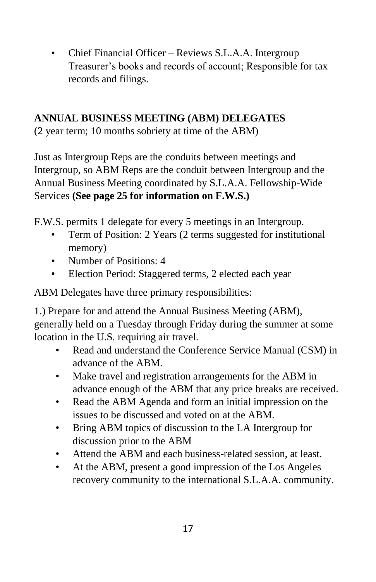• Chief Financial Officer – Reviews S.L.A.A. Intergroup Treasurer's books and records of account; Responsible for tax records and filings.

# **ANNUAL BUSINESS MEETING (ABM) DELEGATES**

(2 year term; 10 months sobriety at time of the ABM)

Just as Intergroup Reps are the conduits between meetings and Intergroup, so ABM Reps are the conduit between Intergroup and the Annual Business Meeting coordinated by S.L.A.A. Fellowship-Wide Services **(See page 25 for information on F.W.S.)**

F.W.S. permits 1 delegate for every 5 meetings in an Intergroup.

- Term of Position: 2 Years (2 terms suggested for institutional memory)
- Number of Positions: 4
- Election Period: Staggered terms, 2 elected each year

ABM Delegates have three primary responsibilities:

1.) Prepare for and attend the Annual Business Meeting (ABM), generally held on a Tuesday through Friday during the summer at some location in the U.S. requiring air travel.

- Read and understand the Conference Service Manual (CSM) in advance of the ABM.
- Make travel and registration arrangements for the ABM in advance enough of the ABM that any price breaks are received.
- Read the ABM Agenda and form an initial impression on the issues to be discussed and voted on at the ABM.
- Bring ABM topics of discussion to the LA Intergroup for discussion prior to the ABM
- Attend the ABM and each business-related session, at least.
- At the ABM, present a good impression of the Los Angeles recovery community to the international S.L.A.A. community.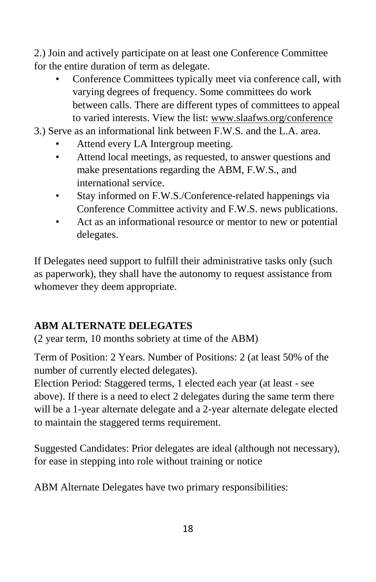2.) Join and actively participate on at least one Conference Committee for the entire duration of term as delegate.

- Conference Committees typically meet via conference call, with varying degrees of frequency. Some committees do work between calls. There are different types of committees to appeal to varied interests. View the list: www.slaafws.org/conference
- 3.) Serve as an informational link between F.W.S. and the L.A. area.
	- Attend every LA Intergroup meeting.
	- Attend local meetings, as requested, to answer questions and make presentations regarding the ABM, F.W.S., and international service.
	- Stay informed on F.W.S./Conference-related happenings via Conference Committee activity and F.W.S. news publications.
	- Act as an informational resource or mentor to new or potential delegates.

If Delegates need support to fulfill their administrative tasks only (such as paperwork), they shall have the autonomy to request assistance from whomever they deem appropriate.

# **ABM ALTERNATE DELEGATES**

(2 year term, 10 months sobriety at time of the ABM)

Term of Position: 2 Years. Number of Positions: 2 (at least 50% of the number of currently elected delegates).

Election Period: Staggered terms, 1 elected each year (at least - see above). If there is a need to elect 2 delegates during the same term there will be a 1-year alternate delegate and a 2-year alternate delegate elected to maintain the staggered terms requirement.

Suggested Candidates: Prior delegates are ideal (although not necessary), for ease in stepping into role without training or notice

ABM Alternate Delegates have two primary responsibilities: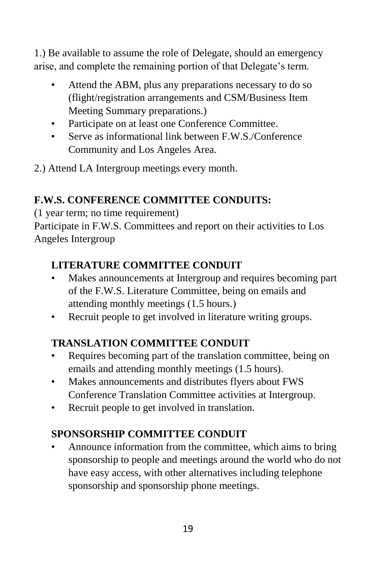1.) Be available to assume the role of Delegate, should an emergency arise, and complete the remaining portion of that Delegate's term.

- Attend the ABM, plus any preparations necessary to do so (flight/registration arrangements and CSM/Business Item Meeting Summary preparations.)
- Participate on at least one Conference Committee.
- Serve as informational link between FW S/Conference Community and Los Angeles Area.
- 2.) Attend LA Intergroup meetings every month.

# **F.W.S. CONFERENCE COMMITTEE CONDUITS:**

(1 year term; no time requirement)

Participate in F.W.S. Committees and report on their activities to Los Angeles Intergroup

# **LITERATURE COMMITTEE CONDUIT**

- Makes announcements at Intergroup and requires becoming part of the F.W.S. Literature Committee, being on emails and attending monthly meetings (1.5 hours.)
- Recruit people to get involved in literature writing groups.

# **TRANSLATION COMMITTEE CONDUIT**

- Requires becoming part of the translation committee, being on emails and attending monthly meetings (1.5 hours).
- Makes announcements and distributes flyers about FWS Conference Translation Committee activities at Intergroup.
- Recruit people to get involved in translation.

# **SPONSORSHIP COMMITTEE CONDUIT**

• Announce information from the committee, which aims to bring sponsorship to people and meetings around the world who do not have easy access, with other alternatives including telephone sponsorship and sponsorship phone meetings.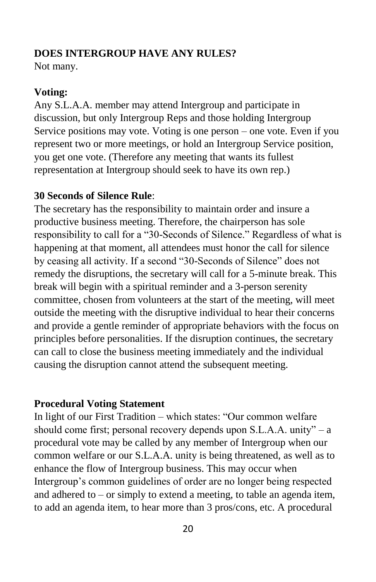## **DOES INTERGROUP HAVE ANY RULES?**

Not many.

## **Voting:**

Any S.L.A.A. member may attend Intergroup and participate in discussion, but only Intergroup Reps and those holding Intergroup Service positions may vote. Voting is one person – one vote. Even if you represent two or more meetings, or hold an Intergroup Service position, you get one vote. (Therefore any meeting that wants its fullest representation at Intergroup should seek to have its own rep.)

## **30 Seconds of Silence Rule**:

The secretary has the responsibility to maintain order and insure a productive business meeting. Therefore, the chairperson has sole responsibility to call for a "30-Seconds of Silence." Regardless of what is happening at that moment, all attendees must honor the call for silence by ceasing all activity. If a second "30-Seconds of Silence" does not remedy the disruptions, the secretary will call for a 5-minute break. This break will begin with a spiritual reminder and a 3-person serenity committee, chosen from volunteers at the start of the meeting, will meet outside the meeting with the disruptive individual to hear their concerns and provide a gentle reminder of appropriate behaviors with the focus on principles before personalities. If the disruption continues, the secretary can call to close the business meeting immediately and the individual causing the disruption cannot attend the subsequent meeting.

## **Procedural Voting Statement**

In light of our First Tradition – which states: "Our common welfare should come first; personal recovery depends upon S.L.A.A. unity" – a procedural vote may be called by any member of Intergroup when our common welfare or our S.L.A.A. unity is being threatened, as well as to enhance the flow of Intergroup business. This may occur when Intergroup's common guidelines of order are no longer being respected and adhered to – or simply to extend a meeting, to table an agenda item, to add an agenda item, to hear more than 3 pros/cons, etc. A procedural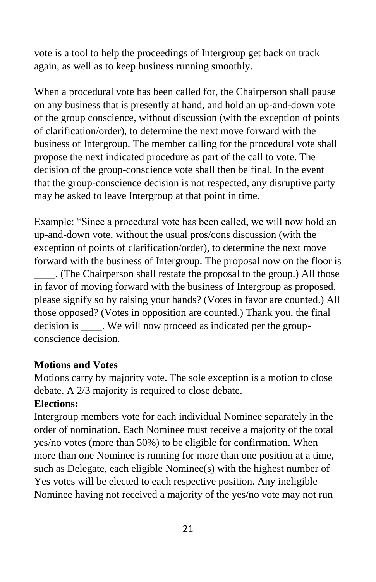vote is a tool to help the proceedings of Intergroup get back on track again, as well as to keep business running smoothly.

When a procedural vote has been called for, the Chairperson shall pause on any business that is presently at hand, and hold an up-and-down vote of the group conscience, without discussion (with the exception of points of clarification/order), to determine the next move forward with the business of Intergroup. The member calling for the procedural vote shall propose the next indicated procedure as part of the call to vote. The decision of the group-conscience vote shall then be final. In the event that the group-conscience decision is not respected, any disruptive party may be asked to leave Intergroup at that point in time.

Example: "Since a procedural vote has been called, we will now hold an up-and-down vote, without the usual pros/cons discussion (with the exception of points of clarification/order), to determine the next move forward with the business of Intergroup. The proposal now on the floor is \_\_\_\_. (The Chairperson shall restate the proposal to the group.) All those in favor of moving forward with the business of Intergroup as proposed, please signify so by raising your hands? (Votes in favor are counted.) All

those opposed? (Votes in opposition are counted.) Thank you, the final decision is \_\_\_\_. We will now proceed as indicated per the groupconscience decision.

## **Motions and Votes**

Motions carry by majority vote. The sole exception is a motion to close debate. A 2/3 majority is required to close debate.

## **Elections:**

Intergroup members vote for each individual Nominee separately in the order of nomination. Each Nominee must receive a majority of the total yes/no votes (more than 50%) to be eligible for confirmation. When more than one Nominee is running for more than one position at a time, such as Delegate, each eligible Nominee(s) with the highest number of Yes votes will be elected to each respective position. Any ineligible Nominee having not received a majority of the yes/no vote may not run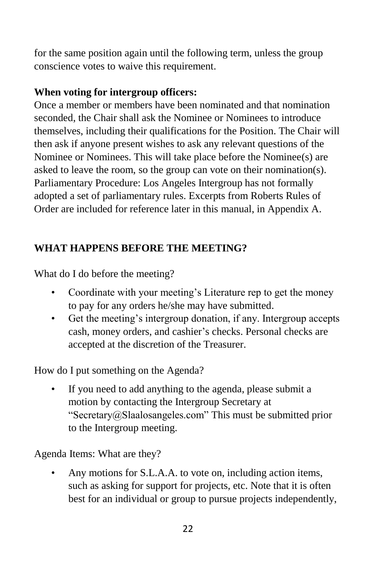for the same position again until the following term, unless the group conscience votes to waive this requirement.

## **When voting for intergroup officers:**

Once a member or members have been nominated and that nomination seconded, the Chair shall ask the Nominee or Nominees to introduce themselves, including their qualifications for the Position. The Chair will then ask if anyone present wishes to ask any relevant questions of the Nominee or Nominees. This will take place before the Nominee(s) are asked to leave the room, so the group can vote on their nomination(s). Parliamentary Procedure: Los Angeles Intergroup has not formally adopted a set of parliamentary rules. Excerpts from Roberts Rules of Order are included for reference later in this manual, in Appendix A.

# **WHAT HAPPENS BEFORE THE MEETING?**

What do I do before the meeting?

- Coordinate with your meeting's Literature rep to get the money to pay for any orders he/she may have submitted.
- Get the meeting's intergroup donation, if any. Intergroup accepts cash, money orders, and cashier's checks. Personal checks are accepted at the discretion of the Treasurer.

How do I put something on the Agenda?

• If you need to add anything to the agenda, please submit a motion by contacting the Intergroup Secretary at "Secretary@Slaalosangeles.com" This must be submitted prior to the Intergroup meeting.

Agenda Items: What are they?

• Any motions for S.L.A.A. to vote on, including action items, such as asking for support for projects, etc. Note that it is often best for an individual or group to pursue projects independently,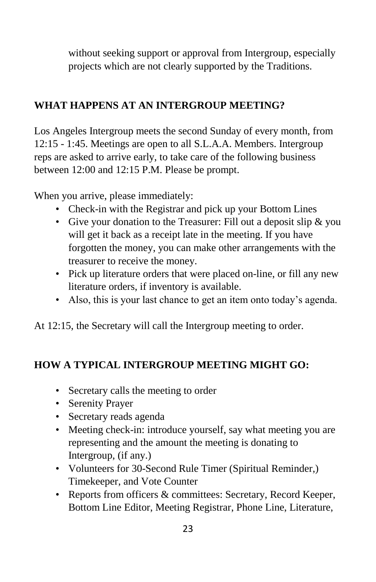without seeking support or approval from Intergroup, especially projects which are not clearly supported by the Traditions.

# **WHAT HAPPENS AT AN INTERGROUP MEETING?**

Los Angeles Intergroup meets the second Sunday of every month, from 12:15 - 1:45. Meetings are open to all S.L.A.A. Members. Intergroup reps are asked to arrive early, to take care of the following business between 12:00 and 12:15 P.M. Please be prompt.

When you arrive, please immediately:

- Check-in with the Registrar and pick up your Bottom Lines
- Give your donation to the Treasurer: Fill out a deposit slip & you will get it back as a receipt late in the meeting. If you have forgotten the money, you can make other arrangements with the treasurer to receive the money.
- Pick up literature orders that were placed on-line, or fill any new literature orders, if inventory is available.
- Also, this is your last chance to get an item onto today's agenda.

At 12:15, the Secretary will call the Intergroup meeting to order.

# **HOW A TYPICAL INTERGROUP MEETING MIGHT GO:**

- Secretary calls the meeting to order
- Serenity Prayer
- Secretary reads agenda
- Meeting check-in: introduce yourself, say what meeting you are representing and the amount the meeting is donating to Intergroup, (if any.)
- Volunteers for 30-Second Rule Timer (Spiritual Reminder,) Timekeeper, and Vote Counter
- Reports from officers & committees: Secretary, Record Keeper, Bottom Line Editor, Meeting Registrar, Phone Line, Literature,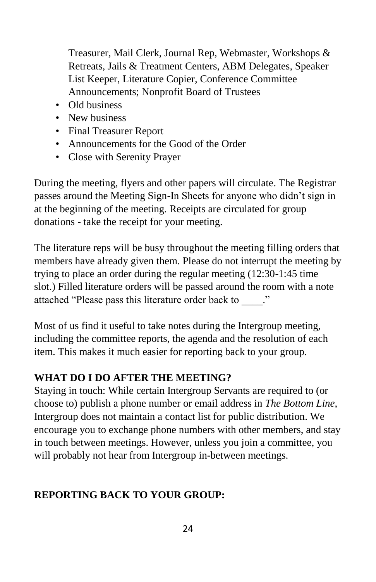Treasurer, Mail Clerk, Journal Rep, Webmaster, Workshops & Retreats, Jails & Treatment Centers, ABM Delegates, Speaker List Keeper, Literature Copier, Conference Committee Announcements; Nonprofit Board of Trustees

- Old business
- New business
- Final Treasurer Report
- Announcements for the Good of the Order
- Close with Serenity Prayer

During the meeting, flyers and other papers will circulate. The Registrar passes around the Meeting Sign-In Sheets for anyone who didn't sign in at the beginning of the meeting. Receipts are circulated for group donations - take the receipt for your meeting.

The literature reps will be busy throughout the meeting filling orders that members have already given them. Please do not interrupt the meeting by trying to place an order during the regular meeting (12:30-1:45 time slot.) Filled literature orders will be passed around the room with a note attached "Please pass this literature order back to  $\therefore$ "

Most of us find it useful to take notes during the Intergroup meeting, including the committee reports, the agenda and the resolution of each item. This makes it much easier for reporting back to your group.

# **WHAT DO I DO AFTER THE MEETING?**

Staying in touch: While certain Intergroup Servants are required to (or choose to) publish a phone number or email address in *The Bottom Line*, Intergroup does not maintain a contact list for public distribution. We encourage you to exchange phone numbers with other members, and stay in touch between meetings. However, unless you join a committee, you will probably not hear from Intergroup in-between meetings.

# **REPORTING BACK TO YOUR GROUP:**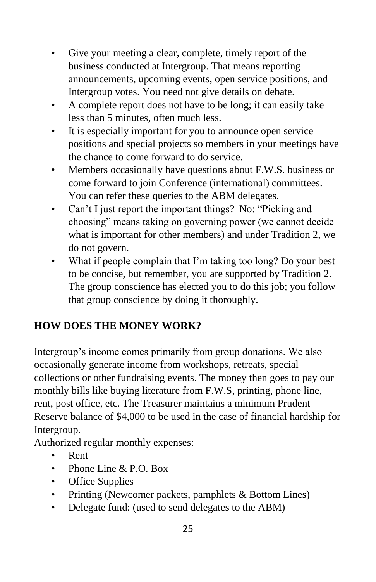- Give your meeting a clear, complete, timely report of the business conducted at Intergroup. That means reporting announcements, upcoming events, open service positions, and Intergroup votes. You need not give details on debate.
- A complete report does not have to be long; it can easily take less than 5 minutes, often much less.
- It is especially important for you to announce open service positions and special projects so members in your meetings have the chance to come forward to do service.
- Members occasionally have questions about F.W.S. business or come forward to join Conference (international) committees. You can refer these queries to the ABM delegates.
- Can't I just report the important things? No: "Picking and choosing" means taking on governing power (we cannot decide what is important for other members) and under Tradition 2, we do not govern.
- What if people complain that I'm taking too long? Do your best to be concise, but remember, you are supported by Tradition 2. The group conscience has elected you to do this job; you follow that group conscience by doing it thoroughly.

# **HOW DOES THE MONEY WORK?**

Intergroup's income comes primarily from group donations. We also occasionally generate income from workshops, retreats, special collections or other fundraising events. The money then goes to pay our monthly bills like buying literature from F.W.S, printing, phone line, rent, post office, etc. The Treasurer maintains a minimum Prudent Reserve balance of \$4,000 to be used in the case of financial hardship for Intergroup.

Authorized regular monthly expenses:

- Rent
- Phone Line & P.O. Box
- Office Supplies
- Printing (Newcomer packets, pamphlets & Bottom Lines)
- Delegate fund: (used to send delegates to the ABM)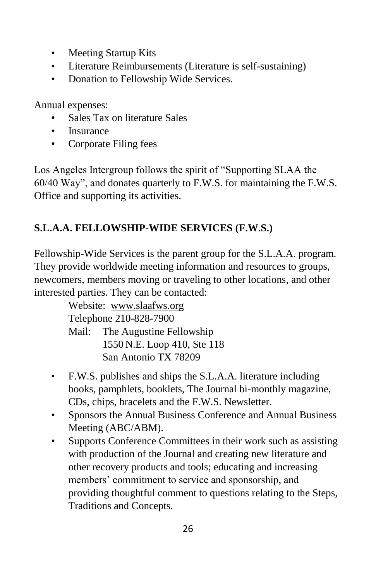- Meeting Startup Kits
- Literature Reimbursements (Literature is self-sustaining)
- Donation to Fellowship Wide Services.

Annual expenses:

- Sales Tax on literature Sales
- Insurance
- Corporate Filing fees

Los Angeles Intergroup follows the spirit of "Supporting SLAA the 60/40 Way", and donates quarterly to F.W.S. for maintaining the F.W.S. Office and supporting its activities.

# **S.L.A.A. FELLOWSHIP-WIDE SERVICES (F.W.S.)**

Fellowship-Wide Services is the parent group for the S.L.A.A. program. They provide worldwide meeting information and resources to groups, newcomers, members moving or traveling to other locations, and other interested parties. They can be contacted:

Website: www.slaafws.org Telephone 210-828-7900 Mail: The Augustine Fellowship 1550 N.E. Loop 410, Ste 118 San Antonio TX 78209

- F.W.S. publishes and ships the S.L.A.A. literature including books, pamphlets, booklets, The Journal bi-monthly magazine, CDs, chips, bracelets and the F.W.S. Newsletter.
- Sponsors the Annual Business Conference and Annual Business Meeting (ABC/ABM).
- Supports Conference Committees in their work such as assisting with production of the Journal and creating new literature and other recovery products and tools; educating and increasing members' commitment to service and sponsorship, and providing thoughtful comment to questions relating to the Steps, Traditions and Concepts.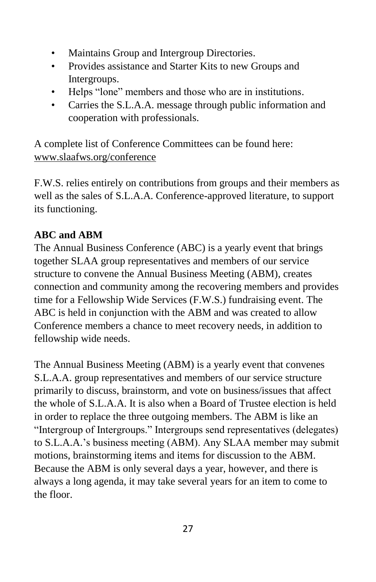- Maintains Group and Intergroup Directories.
- Provides assistance and Starter Kits to new Groups and Intergroups.
- Helps "lone" members and those who are in institutions.
- Carries the S.L.A.A. message through public information and cooperation with professionals.

A complete list of Conference Committees can be found here: www.slaafws.org/conference

F.W.S. relies entirely on contributions from groups and their members as well as the sales of S.L.A.A. Conference-approved literature, to support its functioning.

# **ABC and ABM**

The Annual Business Conference (ABC) is a yearly event that brings together SLAA group representatives and members of our service structure to convene the Annual Business Meeting (ABM), creates connection and community among the recovering members and provides time for a Fellowship Wide Services (F.W.S.) fundraising event. The ABC is held in conjunction with the ABM and was created to allow Conference members a chance to meet recovery needs, in addition to fellowship wide needs.

The Annual Business Meeting (ABM) is a yearly event that convenes S.L.A.A. group representatives and members of our service structure primarily to discuss, brainstorm, and vote on business/issues that affect the whole of S.L.A.A. It is also when a Board of Trustee election is held in order to replace the three outgoing members. The ABM is like an "Intergroup of Intergroups." Intergroups send representatives (delegates) to S.L.A.A.'s business meeting (ABM). Any SLAA member may submit motions, brainstorming items and items for discussion to the ABM. Because the ABM is only several days a year, however, and there is always a long agenda, it may take several years for an item to come to the floor.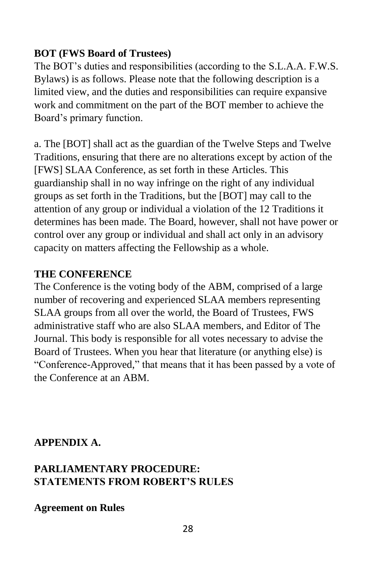## **BOT (FWS Board of Trustees)**

The BOT's duties and responsibilities (according to the S.L.A.A. F.W.S. Bylaws) is as follows. Please note that the following description is a limited view, and the duties and responsibilities can require expansive work and commitment on the part of the BOT member to achieve the Board's primary function.

a. The [BOT] shall act as the guardian of the Twelve Steps and Twelve Traditions, ensuring that there are no alterations except by action of the [FWS] SLAA Conference, as set forth in these Articles. This guardianship shall in no way infringe on the right of any individual groups as set forth in the Traditions, but the [BOT] may call to the attention of any group or individual a violation of the 12 Traditions it determines has been made. The Board, however, shall not have power or control over any group or individual and shall act only in an advisory capacity on matters affecting the Fellowship as a whole.

## **THE CONFERENCE**

The Conference is the voting body of the ABM, comprised of a large number of recovering and experienced SLAA members representing SLAA groups from all over the world, the Board of Trustees, FWS administrative staff who are also SLAA members, and Editor of The Journal. This body is responsible for all votes necessary to advise the Board of Trustees. When you hear that literature (or anything else) is "Conference-Approved," that means that it has been passed by a vote of the Conference at an ABM.

## **APPENDIX A.**

## **PARLIAMENTARY PROCEDURE: STATEMENTS FROM ROBERT'S RULES**

**Agreement on Rules**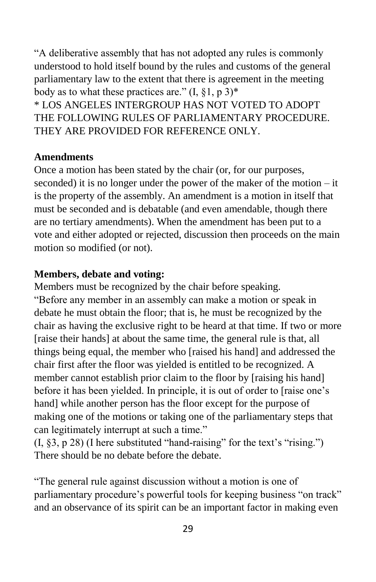"A deliberative assembly that has not adopted any rules is commonly understood to hold itself bound by the rules and customs of the general parliamentary law to the extent that there is agreement in the meeting body as to what these practices are."  $(I, §1, p 3)^*$ \* LOS ANGELES INTERGROUP HAS NOT VOTED TO ADOPT THE FOLLOWING RULES OF PARLIAMENTARY PROCEDURE.

THEY ARE PROVIDED FOR REFERENCE ONLY.

#### **Amendments**

Once a motion has been stated by the chair (or, for our purposes, seconded) it is no longer under the power of the maker of the motion – it is the property of the assembly. An amendment is a motion in itself that must be seconded and is debatable (and even amendable, though there are no tertiary amendments). When the amendment has been put to a vote and either adopted or rejected, discussion then proceeds on the main motion so modified (or not).

#### **Members, debate and voting:**

Members must be recognized by the chair before speaking. "Before any member in an assembly can make a motion or speak in debate he must obtain the floor; that is, he must be recognized by the chair as having the exclusive right to be heard at that time. If two or more [raise their hands] at about the same time, the general rule is that, all things being equal, the member who [raised his hand] and addressed the chair first after the floor was yielded is entitled to be recognized. A member cannot establish prior claim to the floor by [raising his hand] before it has been yielded. In principle, it is out of order to [raise one's hand] while another person has the floor except for the purpose of making one of the motions or taking one of the parliamentary steps that can legitimately interrupt at such a time."

(I, §3, p 28) (I here substituted "hand-raising" for the text's "rising.") There should be no debate before the debate.

"The general rule against discussion without a motion is one of parliamentary procedure's powerful tools for keeping business "on track" and an observance of its spirit can be an important factor in making even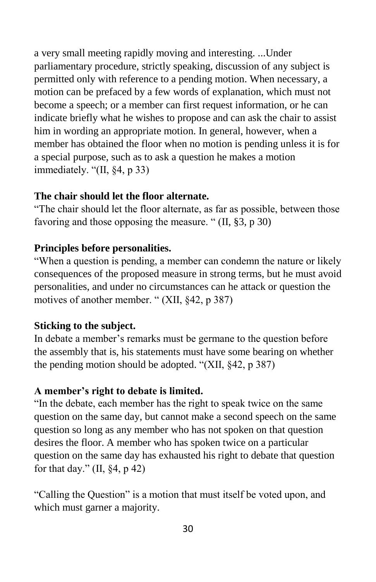a very small meeting rapidly moving and interesting. ...Under parliamentary procedure, strictly speaking, discussion of any subject is permitted only with reference to a pending motion. When necessary, a motion can be prefaced by a few words of explanation, which must not become a speech; or a member can first request information, or he can indicate briefly what he wishes to propose and can ask the chair to assist him in wording an appropriate motion. In general, however, when a member has obtained the floor when no motion is pending unless it is for a special purpose, such as to ask a question he makes a motion immediately. "(II, §4, p 33)

#### **The chair should let the floor alternate.**

"The chair should let the floor alternate, as far as possible, between those favoring and those opposing the measure. " (II, §3, p 30)

#### **Principles before personalities.**

"When a question is pending, a member can condemn the nature or likely consequences of the proposed measure in strong terms, but he must avoid personalities, and under no circumstances can he attack or question the motives of another member. " (XII, §42, p 387)

#### **Sticking to the subject.**

In debate a member's remarks must be germane to the question before the assembly that is, his statements must have some bearing on whether the pending motion should be adopted. "(XII, §42, p 387)

## **A member's right to debate is limited.**

"In the debate, each member has the right to speak twice on the same question on the same day, but cannot make a second speech on the same question so long as any member who has not spoken on that question desires the floor. A member who has spoken twice on a particular question on the same day has exhausted his right to debate that question for that day."  $(II, §4, p 42)$ 

"Calling the Question" is a motion that must itself be voted upon, and which must garner a majority.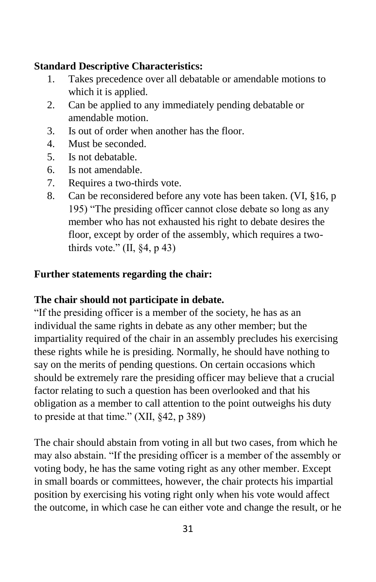## **Standard Descriptive Characteristics:**

- 1. Takes precedence over all debatable or amendable motions to which it is applied.
- 2. Can be applied to any immediately pending debatable or amendable motion.
- 3. Is out of order when another has the floor.
- 4. Must be seconded.
- 5. Is not debatable.
- 6. Is not amendable.
- 7. Requires a two-thirds vote.
- 8. Can be reconsidered before any vote has been taken. (VI, §16, p 195) "The presiding officer cannot close debate so long as any member who has not exhausted his right to debate desires the floor, except by order of the assembly, which requires a twothirds vote."  $(II, §4, p 43)$

## **Further statements regarding the chair:**

## **The chair should not participate in debate.**

"If the presiding officer is a member of the society, he has as an individual the same rights in debate as any other member; but the impartiality required of the chair in an assembly precludes his exercising these rights while he is presiding. Normally, he should have nothing to say on the merits of pending questions. On certain occasions which should be extremely rare the presiding officer may believe that a crucial factor relating to such a question has been overlooked and that his obligation as a member to call attention to the point outweighs his duty to preside at that time." (XII, §42, p 389)

The chair should abstain from voting in all but two cases, from which he may also abstain. "If the presiding officer is a member of the assembly or voting body, he has the same voting right as any other member. Except in small boards or committees, however, the chair protects his impartial position by exercising his voting right only when his vote would affect the outcome, in which case he can either vote and change the result, or he